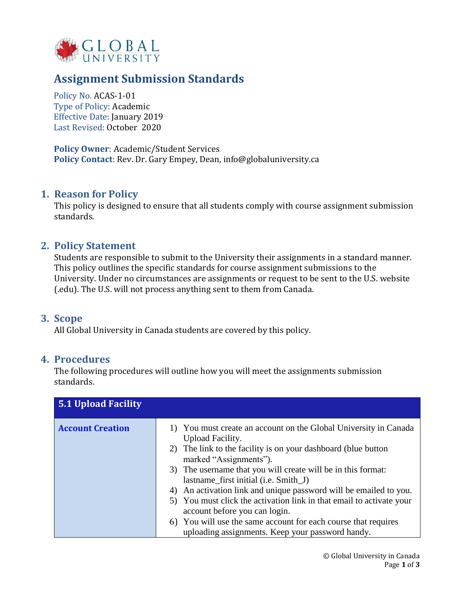

# **Assignment Submission Standards**

Policy No. ACAS-1-01 Type of Policy: Academic Effective Date: January 2019 Last Revised: October 2020

**Policy Owner**: Academic/Student Services **Policy Contact**: Rev. Dr. Gary Empey, Dean, info@globaluniversity.ca

#### **1. Reason for Policy**

This policy is designed to ensure that all students comply with course assignment submission standards.

## **2. Policy Statement**

Students are responsible to submit to the University their assignments in a standard manner. This policy outlines the specific standards for course assignment submissions to the University. Under no circumstances are assignments or request to be sent to the U.S. website (.edu). The U.S. will not process anything sent to them from Canada.

#### **3. Scope**

All Global University in Canada students are covered by this policy.

## **4. Procedures**

The following procedures will outline how you will meet the assignments submission standards.

| 5.1 Upload Facility     |                                                                                                                                                                                                                                                                                                                                                                                                                                                                                                                                                                                                 |
|-------------------------|-------------------------------------------------------------------------------------------------------------------------------------------------------------------------------------------------------------------------------------------------------------------------------------------------------------------------------------------------------------------------------------------------------------------------------------------------------------------------------------------------------------------------------------------------------------------------------------------------|
| <b>Account Creation</b> | 1) You must create an account on the Global University in Canada<br>Upload Facility.<br>2) The link to the facility is on your dashboard (blue button<br>marked "Assignments").<br>3) The username that you will create will be in this format:<br>lastname_first initial (i.e. Smith_J)<br>An activation link and unique password will be emailed to you.<br>4)<br>5) You must click the activation link in that email to activate your<br>account before you can login.<br>6) You will use the same account for each course that requires<br>uploading assignments. Keep your password handy. |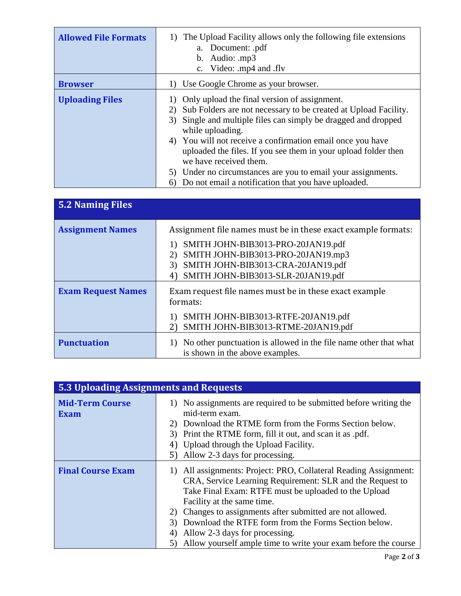| <b>Allowed File Formats</b> | 1) The Upload Facility allows only the following file extensions<br>a. Document: .pdf<br>b. Audio: . $mp3$<br>c. Video: .mp4 and .flv                                                                                                                                                                                                                                                                                                                                                           |  |
|-----------------------------|-------------------------------------------------------------------------------------------------------------------------------------------------------------------------------------------------------------------------------------------------------------------------------------------------------------------------------------------------------------------------------------------------------------------------------------------------------------------------------------------------|--|
| <b>Browser</b>              | Use Google Chrome as your browser.                                                                                                                                                                                                                                                                                                                                                                                                                                                              |  |
| <b>Uploading Files</b>      | Only upload the final version of assignment.<br>Sub Folders are not necessary to be created at Upload Facility.<br>2)<br>Single and multiple files can simply be dragged and dropped<br>3)<br>while uploading.<br>4) You will not receive a confirmation email once you have<br>uploaded the files. If you see them in your upload folder then<br>we have received them.<br>5) Under no circumstances are you to email your assignments.<br>Do not email a notification that you have uploaded. |  |

| 5.2 Naming Files          |                                                                                                                                                                                                                                         |
|---------------------------|-----------------------------------------------------------------------------------------------------------------------------------------------------------------------------------------------------------------------------------------|
| <b>Assignment Names</b>   | Assignment file names must be in these exact example formats:<br>SMITH JOHN-BIB3013-PRO-20JAN19.pdf<br>SMITH JOHN-BIB3013-PRO-20JAN19.mp3<br>2)<br>SMITH JOHN-BIB3013-CRA-20JAN19.pdf<br>3)<br>SMITH JOHN-BIB3013-SLR-20JAN19.pdf<br>4) |
| <b>Exam Request Names</b> | Exam request file names must be in these exact example<br>formats:<br>SMITH JOHN-BIB3013-RTFE-20JAN19.pdf<br>SMITH JOHN-BIB3013-RTME-20JAN19.pdf                                                                                        |
| <b>Punctuation</b>        | No other punctuation is allowed in the file name other that what<br>is shown in the above examples.                                                                                                                                     |

| 5.3 Uploading Assignments and Requests |                                                                                                                                                                                                                  |  |  |
|----------------------------------------|------------------------------------------------------------------------------------------------------------------------------------------------------------------------------------------------------------------|--|--|
| <b>Mid-Term Course</b><br><b>Exam</b>  | 1) No assignments are required to be submitted before writing the<br>mid-term exam.<br>2) Download the RTME form from the Forms Section below.<br>Print the RTME form, fill it out, and scan it as .pdf.<br>3)   |  |  |
|                                        | 4) Upload through the Upload Facility.                                                                                                                                                                           |  |  |
|                                        | Allow 2-3 days for processing.<br>51                                                                                                                                                                             |  |  |
| <b>Final Course Exam</b>               | All assignments: Project: PRO, Collateral Reading Assignment:<br>CRA, Service Learning Requirement: SLR and the Request to<br>Take Final Exam: RTFE must be uploaded to the Upload<br>Facility at the same time. |  |  |
|                                        | Changes to assignments after submitted are not allowed.<br>2)                                                                                                                                                    |  |  |
|                                        | Download the RTFE form from the Forms Section below.<br>3)                                                                                                                                                       |  |  |
|                                        | Allow 2-3 days for processing.<br>4)                                                                                                                                                                             |  |  |
|                                        | Allow yourself ample time to write your exam before the course                                                                                                                                                   |  |  |